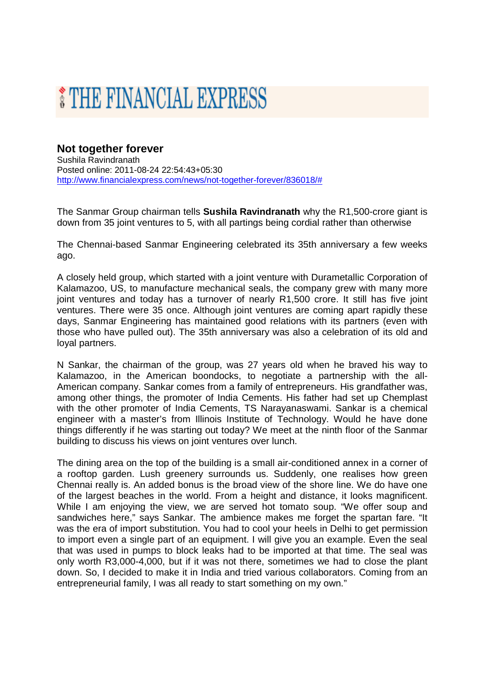## THE FINANCIAL EXPRESS

## **Not together forever**

Sushila Ravindranath Posted online: 2011-08-24 22:54:43+05:30 http://www.financialexpress.com/news/not-together-forever/836018/#

The Sanmar Group chairman tells **Sushila Ravindranath** why the R1,500-crore giant is down from 35 joint ventures to 5, with all partings being cordial rather than otherwise

The Chennai-based Sanmar Engineering celebrated its 35th anniversary a few weeks ago.

A closely held group, which started with a joint venture with Durametallic Corporation of Kalamazoo, US, to manufacture mechanical seals, the company grew with many more joint ventures and today has a turnover of nearly R1,500 crore. It still has five joint ventures. There were 35 once. Although joint ventures are coming apart rapidly these days, Sanmar Engineering has maintained good relations with its partners (even with those who have pulled out). The 35th anniversary was also a celebration of its old and loyal partners.

N Sankar, the chairman of the group, was 27 years old when he braved his way to Kalamazoo, in the American boondocks, to negotiate a partnership with the all-American company. Sankar comes from a family of entrepreneurs. His grandfather was, among other things, the promoter of India Cements. His father had set up Chemplast with the other promoter of India Cements, TS Narayanaswami. Sankar is a chemical engineer with a master's from Illinois Institute of Technology. Would he have done things differently if he was starting out today? We meet at the ninth floor of the Sanmar building to discuss his views on joint ventures over lunch.

The dining area on the top of the building is a small air-conditioned annex in a corner of a rooftop garden. Lush greenery surrounds us. Suddenly, one realises how green Chennai really is. An added bonus is the broad view of the shore line. We do have one of the largest beaches in the world. From a height and distance, it looks magnificent. While I am enjoying the view, we are served hot tomato soup. "We offer soup and sandwiches here," says Sankar. The ambience makes me forget the spartan fare. "It was the era of import substitution. You had to cool your heels in Delhi to get permission to import even a single part of an equipment. I will give you an example. Even the seal that was used in pumps to block leaks had to be imported at that time. The seal was only worth R3,000-4,000, but if it was not there, sometimes we had to close the plant down. So, I decided to make it in India and tried various collaborators. Coming from an entrepreneurial family, I was all ready to start something on my own."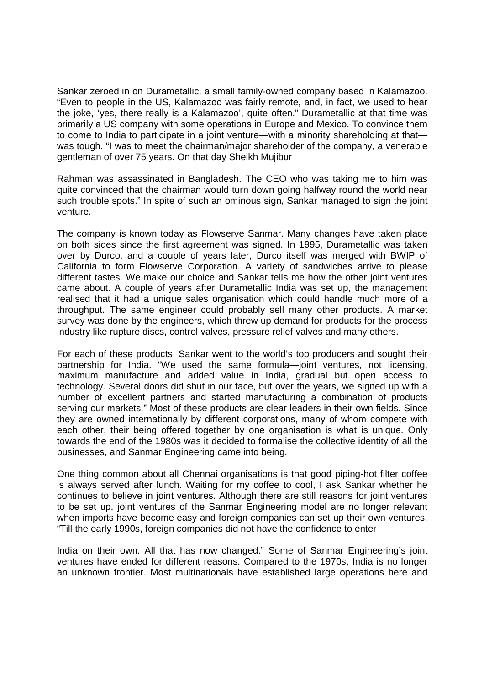Sankar zeroed in on Durametallic, a small family-owned company based in Kalamazoo. "Even to people in the US, Kalamazoo was fairly remote, and, in fact, we used to hear the joke, 'yes, there really is a Kalamazoo', quite often." Durametallic at that time was primarily a US company with some operations in Europe and Mexico. To convince them to come to India to participate in a joint venture—with a minority shareholding at that was tough. "I was to meet the chairman/major shareholder of the company, a venerable gentleman of over 75 years. On that day Sheikh Mujibur

Rahman was assassinated in Bangladesh. The CEO who was taking me to him was quite convinced that the chairman would turn down going halfway round the world near such trouble spots." In spite of such an ominous sign, Sankar managed to sign the joint venture.

The company is known today as Flowserve Sanmar. Many changes have taken place on both sides since the first agreement was signed. In 1995, Durametallic was taken over by Durco, and a couple of years later, Durco itself was merged with BWIP of California to form Flowserve Corporation. A variety of sandwiches arrive to please different tastes. We make our choice and Sankar tells me how the other joint ventures came about. A couple of years after Durametallic India was set up, the management realised that it had a unique sales organisation which could handle much more of a throughput. The same engineer could probably sell many other products. A market survey was done by the engineers, which threw up demand for products for the process industry like rupture discs, control valves, pressure relief valves and many others.

For each of these products, Sankar went to the world's top producers and sought their partnership for India. "We used the same formula—joint ventures, not licensing, maximum manufacture and added value in India, gradual but open access to technology. Several doors did shut in our face, but over the years, we signed up with a number of excellent partners and started manufacturing a combination of products serving our markets." Most of these products are clear leaders in their own fields. Since they are owned internationally by different corporations, many of whom compete with each other, their being offered together by one organisation is what is unique. Only towards the end of the 1980s was it decided to formalise the collective identity of all the businesses, and Sanmar Engineering came into being.

One thing common about all Chennai organisations is that good piping-hot filter coffee is always served after lunch. Waiting for my coffee to cool, I ask Sankar whether he continues to believe in joint ventures. Although there are still reasons for joint ventures to be set up, joint ventures of the Sanmar Engineering model are no longer relevant when imports have become easy and foreign companies can set up their own ventures. "Till the early 1990s, foreign companies did not have the confidence to enter

India on their own. All that has now changed." Some of Sanmar Engineering's joint ventures have ended for different reasons. Compared to the 1970s, India is no longer an unknown frontier. Most multinationals have established large operations here and